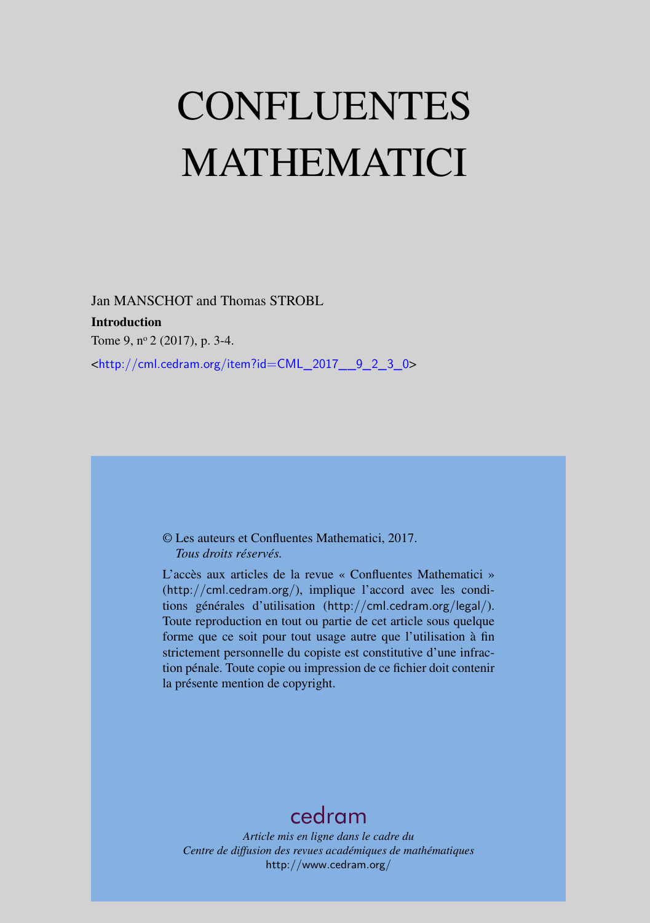# CONFLUENTES MATHEMATICI

Jan MANSCHOT and Thomas STROBL Introduction Tome 9, nº 2 (2017), p. 3-4. <[http://cml.cedram.org/item?id=CML\\_2017\\_\\_9\\_2\\_3\\_0](http://cml.cedram.org/item?id=CML_2017__9_2_3_0)>

## © Les auteurs et Confluentes Mathematici, 2017. *Tous droits réservés.*

L'accès aux articles de la revue « Confluentes Mathematici » (<http://cml.cedram.org/>), implique l'accord avec les conditions générales d'utilisation (<http://cml.cedram.org/legal/>). Toute reproduction en tout ou partie de cet article sous quelque forme que ce soit pour tout usage autre que l'utilisation à fin strictement personnelle du copiste est constitutive d'une infraction pénale. Toute copie ou impression de ce fichier doit contenir la présente mention de copyright.

## [cedram](http://www.cedram.org/)

*Article mis en ligne dans le cadre du Centre de diffusion des revues académiques de mathématiques* <http://www.cedram.org/>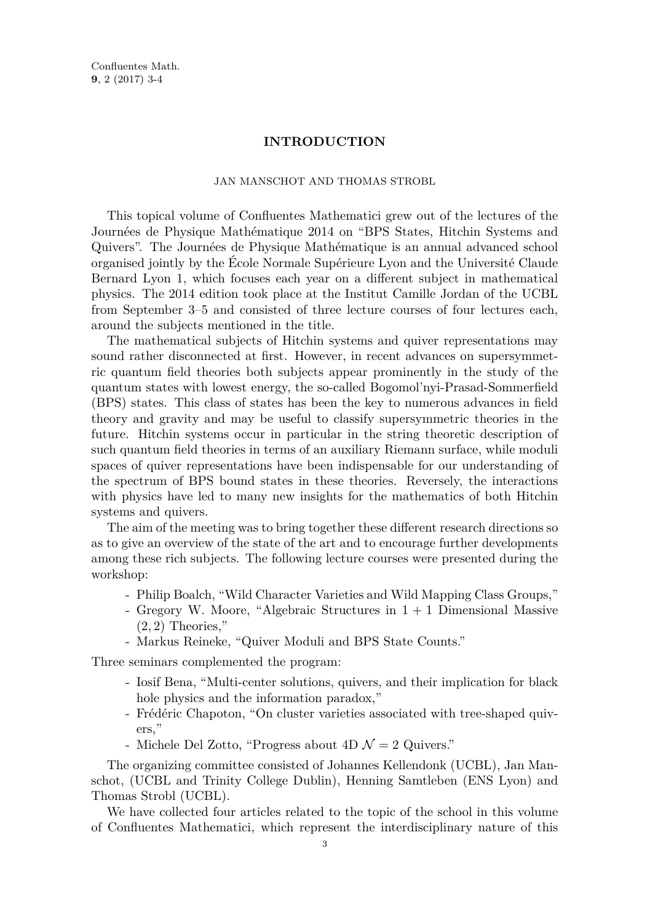Confluentes Math. **9**, 2 (2017) 3-4

#### **INTRODUCTION**

### JAN MANSCHOT AND THOMAS STROBL

This topical volume of Confluentes Mathematici grew out of the lectures of the Journées de Physique Mathématique 2014 on "BPS States, Hitchin Systems and Quivers". The Journées de Physique Mathématique is an annual advanced school organised jointly by the École Normale Supérieure Lyon and the Université Claude Bernard Lyon 1, which focuses each year on a different subject in mathematical physics. The 2014 edition took place at the Institut Camille Jordan of the UCBL from September 3–5 and consisted of three lecture courses of four lectures each, around the subjects mentioned in the title.

The mathematical subjects of Hitchin systems and quiver representations may sound rather disconnected at first. However, in recent advances on supersymmetric quantum field theories both subjects appear prominently in the study of the quantum states with lowest energy, the so-called Bogomol'nyi-Prasad-Sommerfield (BPS) states. This class of states has been the key to numerous advances in field theory and gravity and may be useful to classify supersymmetric theories in the future. Hitchin systems occur in particular in the string theoretic description of such quantum field theories in terms of an auxiliary Riemann surface, while moduli spaces of quiver representations have been indispensable for our understanding of the spectrum of BPS bound states in these theories. Reversely, the interactions with physics have led to many new insights for the mathematics of both Hitchin systems and quivers.

The aim of the meeting was to bring together these different research directions so as to give an overview of the state of the art and to encourage further developments among these rich subjects. The following lecture courses were presented during the workshop:

- Philip Boalch, "Wild Character Varieties and Wild Mapping Class Groups,"
- Gregory W. Moore, "Algebraic Structures in  $1 + 1$  Dimensional Massive (2*,* 2) Theories,"
- Markus Reineke, "Quiver Moduli and BPS State Counts."

Three seminars complemented the program:

- Iosif Bena, "Multi-center solutions, quivers, and their implication for black hole physics and the information paradox,"
- Frédéric Chapoton, "On cluster varieties associated with tree-shaped quivers,"
- Michele Del Zotto, "Progress about 4D  $\mathcal{N}=2$  Quivers."

The organizing committee consisted of Johannes Kellendonk (UCBL), Jan Manschot, (UCBL and Trinity College Dublin), Henning Samtleben (ENS Lyon) and Thomas Strobl (UCBL).

We have collected four articles related to the topic of the school in this volume of Confluentes Mathematici, which represent the interdisciplinary nature of this